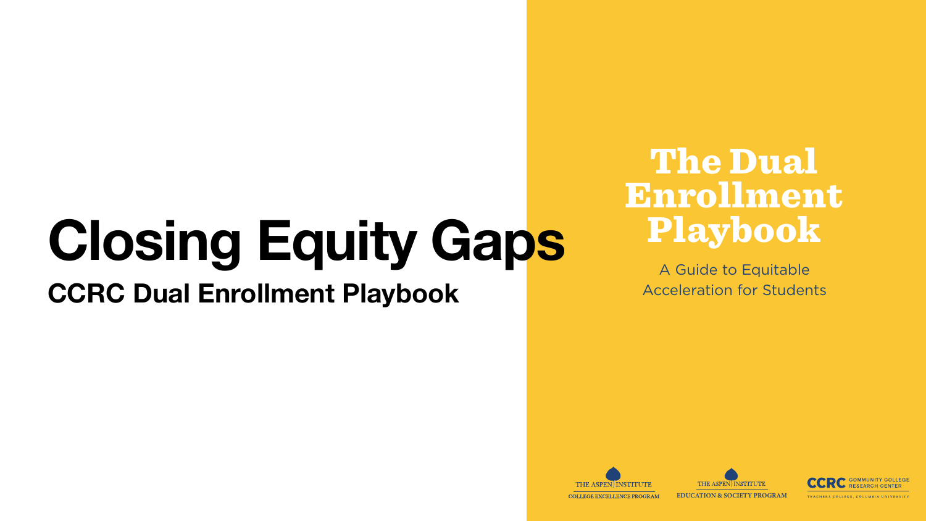#### The Dual Enrollment Playbook

A Guide to Equitable Acceleration for Students







**EDUCATION & SOCIETY PROGRAM**

#### **RESEARCH CENTER**

### **Closing Equity Gaps CCRC Dual Enrollment Playbook**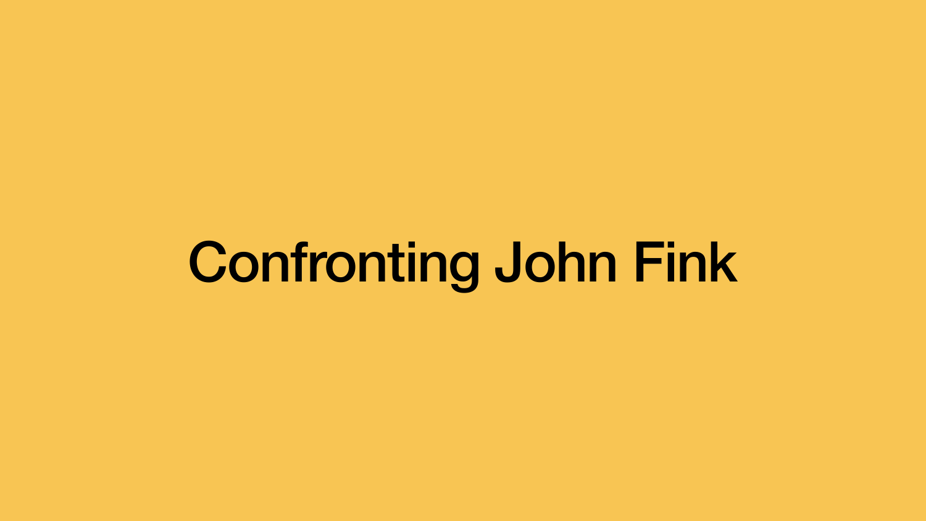## Confronting John Fink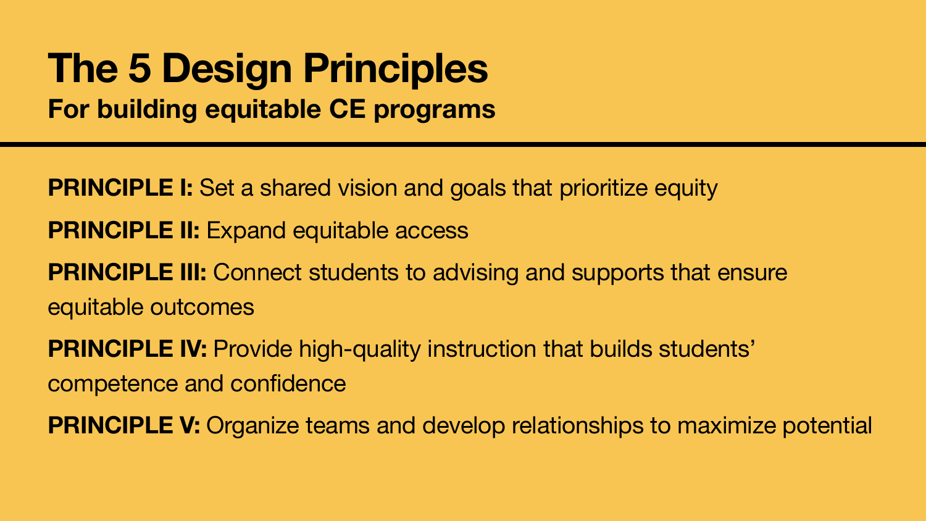#### **The 5 Design Principles For building equitable CE programs**

**PRINCIPLE I:** Set a shared vision and goals that prioritize equity **PRINCIPLE II: Expand equitable access PRINCIPLE III:** Connect students to advising and supports that ensure equitable outcomes **PRINCIPLE IV:** Provide high-quality instruction that builds students' competence and confidence

- 
- 
- 
- 
- **PRINCIPLE V:** Organize teams and develop relationships to maximize potential

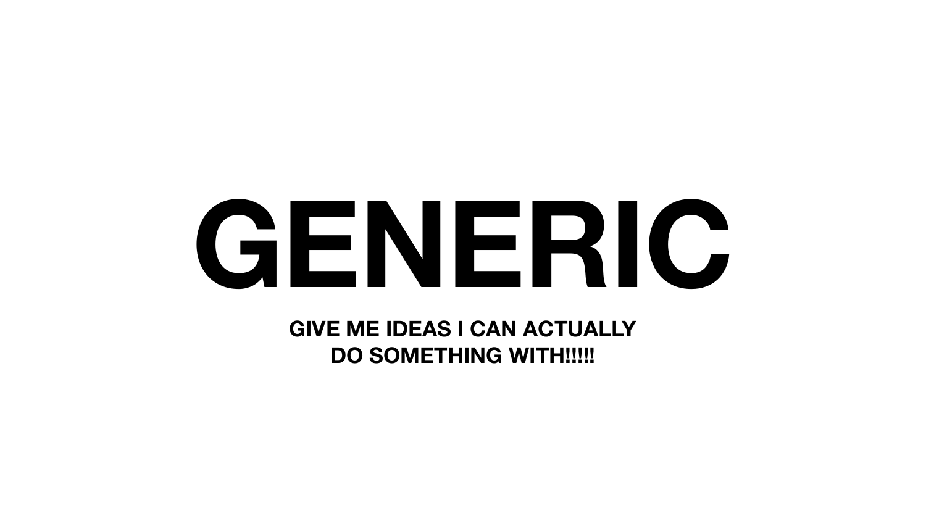# **GENERIC**

#### **GIVE ME IDEAS I CAN ACTUALLY DO SOMETHING WITH!!!!!**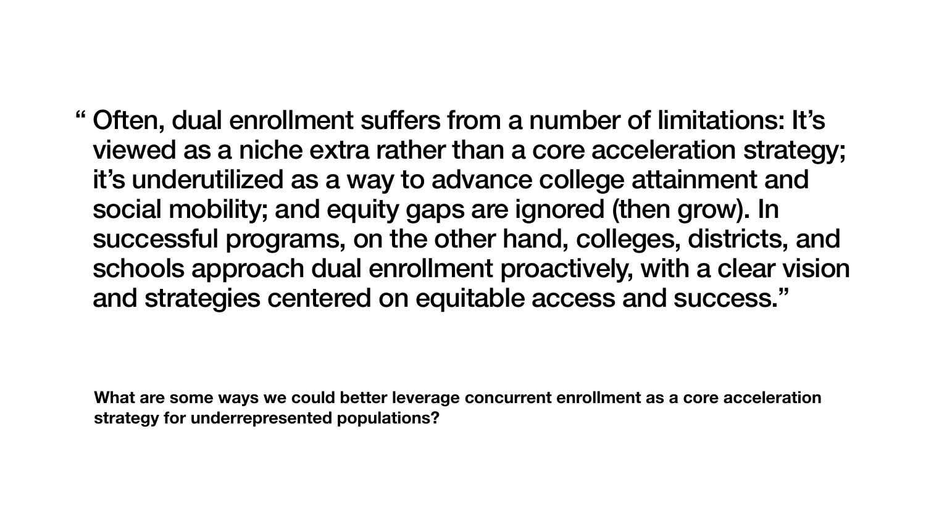**What are some ways we could better leverage concurrent enrollment as a core acceleration strategy for underrepresented populations?** 

" Often, dual enrollment suffers from a number of limitations: It's viewed as a niche extra rather than a core acceleration strategy; it's underutilized as a way to advance college attainment and social mobility; and equity gaps are ignored (then grow). In successful programs, on the other hand, colleges, districts, and schools approach dual enrollment proactively, with a clear vision and strategies centered on equitable access and success."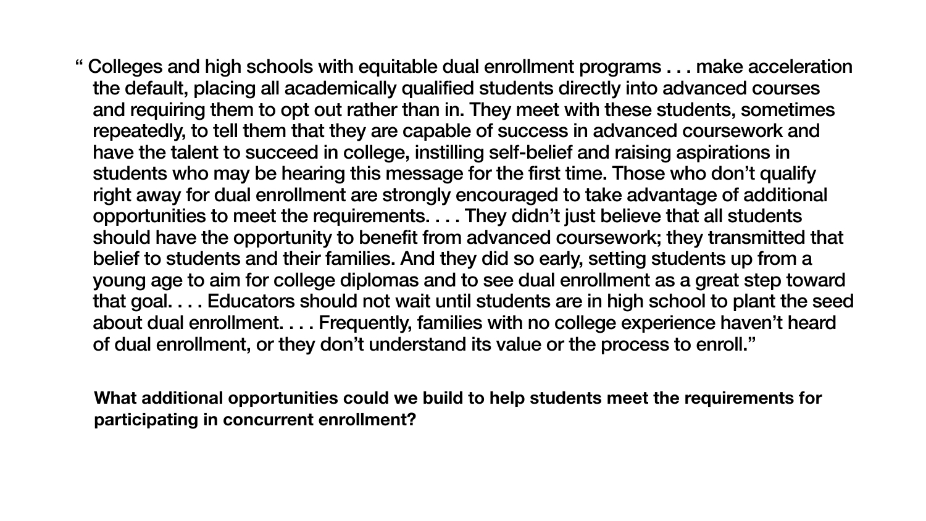**What additional opportunities could we build to help students meet the requirements for participating in concurrent enrollment?**

" Colleges and high schools with equitable dual enrollment programs . . . make acceleration the default, placing all academically qualified students directly into advanced courses and requiring them to opt out rather than in. They meet with these students, sometimes repeatedly, to tell them that they are capable of success in advanced coursework and have the talent to succeed in college, instilling self-belief and raising aspirations in students who may be hearing this message for the first time. Those who don't qualify right away for dual enrollment are strongly encouraged to take advantage of additional opportunities to meet the requirements. . . . They didn't just believe that all students

should have the opportunity to benefit from advanced coursework; they transmitted that belief to students and their families. And they did so early, setting students up from a young age to aim for college diplomas and to see dual enrollment as a great step toward that goal. . . . Educators should not wait until students are in high school to plant the seed about dual enrollment. . . . Frequently, families with no college experience haven't heard

of dual enrollment, or they don't understand its value or the process to enroll."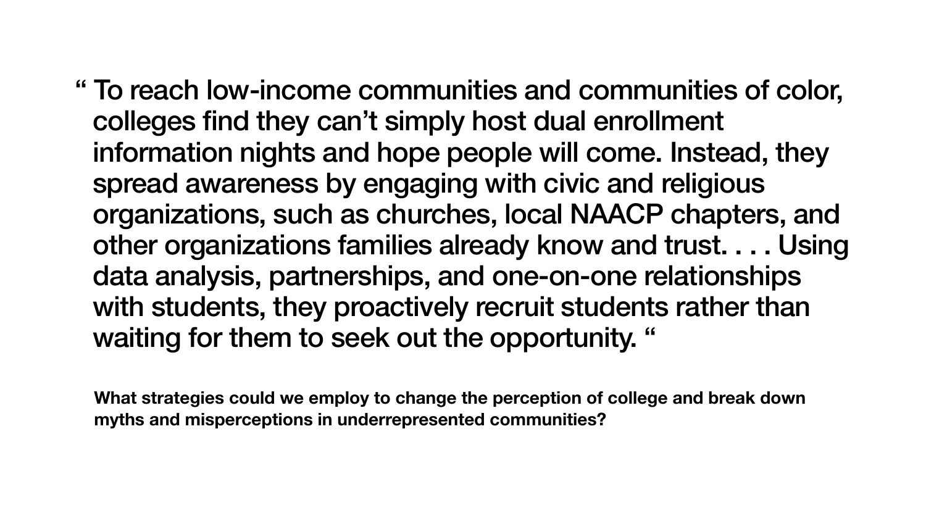**What strategies could we employ to change the perception of college and break down myths and misperceptions in underrepresented communities?** 

" To reach low-income communities and communities of color, information nights and hope people will come. Instead, they organizations, such as churches, local NAACP chapters, and other organizations families already know and trust. . . . Using data analysis, partnerships, and one-on-one relationships with students, they proactively recruit students rather than

colleges find they can't simply host dual enrollment spread awareness by engaging with civic and religious waiting for them to seek out the opportunity. "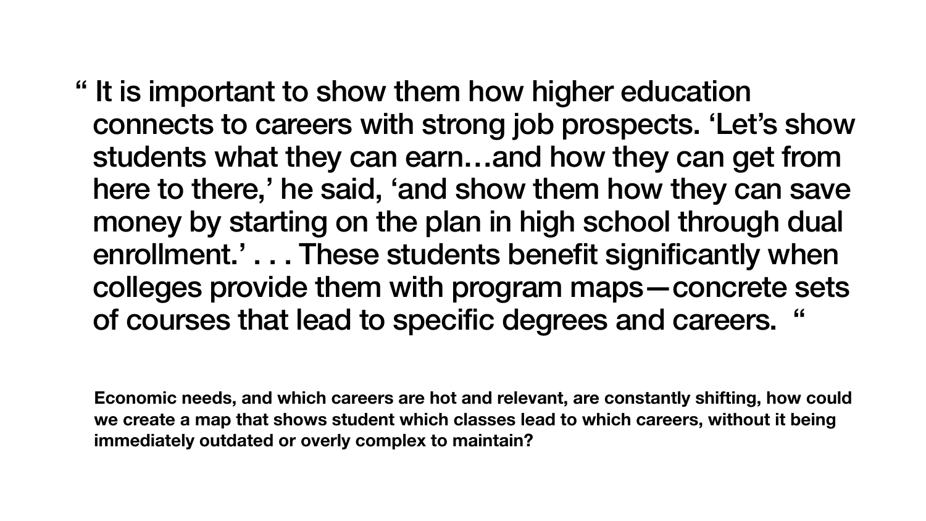**Economic needs, and which careers are hot and relevant, are constantly shifting, how could we create a map that shows student which classes lead to which careers, without it being immediately outdated or overly complex to maintain?**

" It is important to show them how higher education

connects to careers with strong job prospects. 'Let's show students what they can earn…and how they can get from here to there,' he said, 'and show them how they can save money by starting on the plan in high school through dual enrollment.' . . . These students benefit significantly when colleges provide them with program maps—concrete sets of courses that lead to specific degrees and careers. "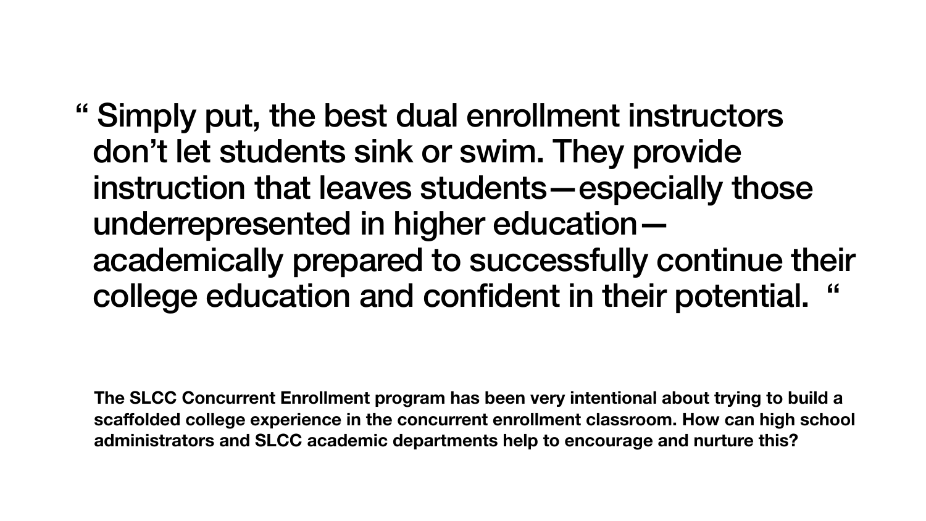**The SLCC Concurrent Enrollment program has been very intentional about trying to build a scaffolded college experience in the concurrent enrollment classroom. How can high school administrators and SLCC academic departments help to encourage and nurture this?** 

" Simply put, the best dual enrollment instructors don't let students sink or swim. They provide instruction that leaves students—especially those underrepresented in higher education academically prepared to successfully continue their college education and confident in their potential.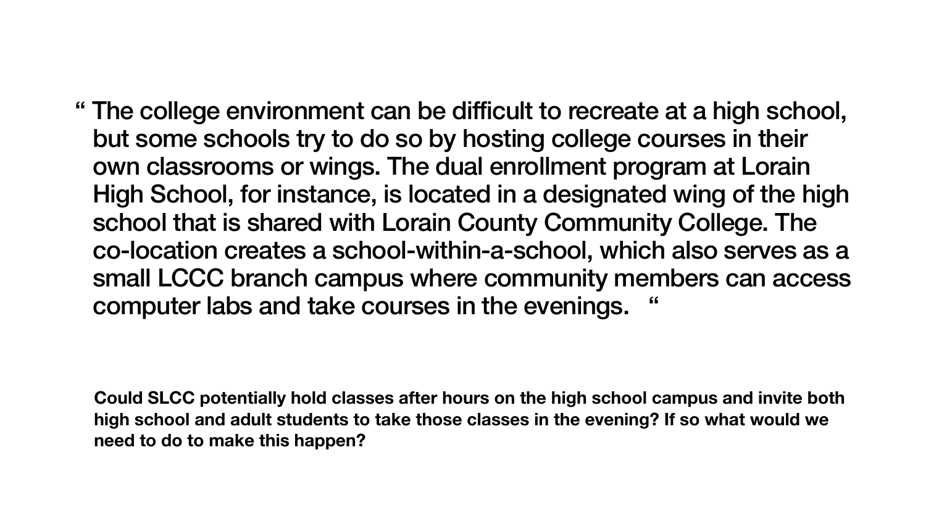**Could SLCC potentially hold classes after hours on the high school campus and invite both high school and adult students to take those classes in the evening? If so what would we need to do to make this happen?**

" The college environment can be difficult to recreate at a high school, but some schools try to do so by hosting college courses in their own classrooms or wings. The dual enrollment program at Lorain High School, for instance, is located in a designated wing of the high school that is shared with Lorain County Community College. The co-location creates a school-within-a-school, which also serves as a small LCCC branch campus where community members can access

computer labs and take courses in the evenings. "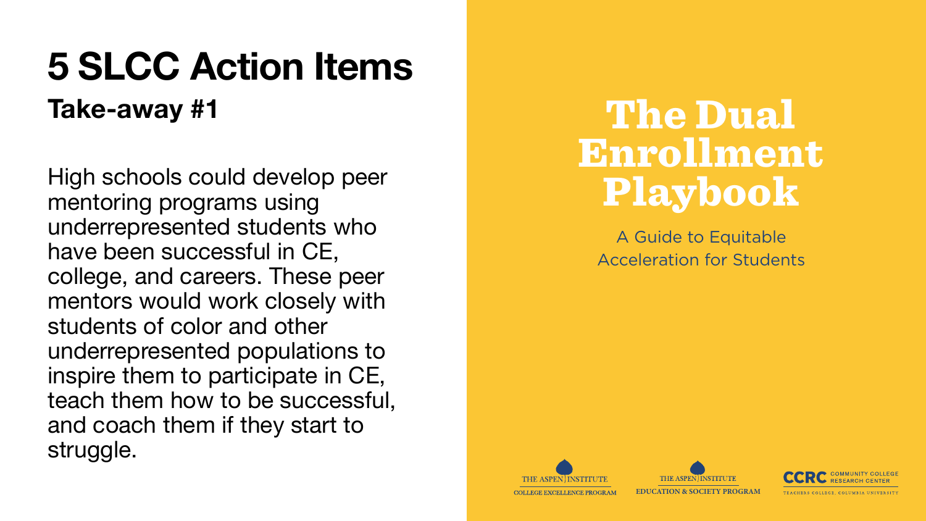High schools could develop peer mentoring programs using underrepresented students who have been successful in CE, college, and careers. These peer mentors would work closely with students of color and other underrepresented populations to inspire them to participate in CE, teach them how to be successful, and coach them if they start to struggle.

### The Dual Enrollment Playbook

A Guide to Equitable **Acceleration for Students** 







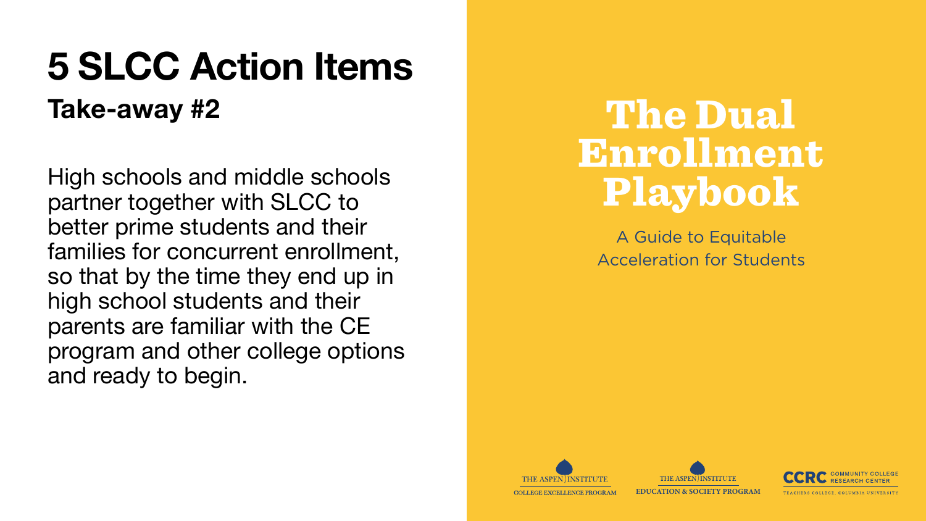High schools and middle schools partner together with SLCC to better prime students and their families for concurrent enrollment, so that by the time they end up in high school students and their parents are familiar with the CE program and other college options and ready to begin.

### The Dual Enrollment Playbook

A Guide to Equitable **Acceleration for Students** 







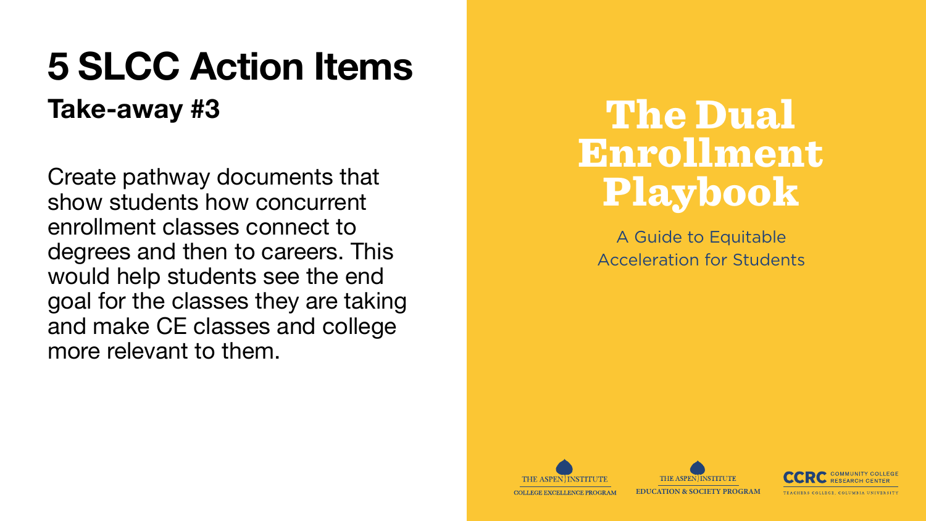Create pathway documents that show students how concurrent enrollment classes connect to degrees and then to careers. This would help students see the end goal for the classes they are taking and make CE classes and college more relevant to them.

### The Dual Enrollment Playbook

A Guide to Equitable **Acceleration for Students** 







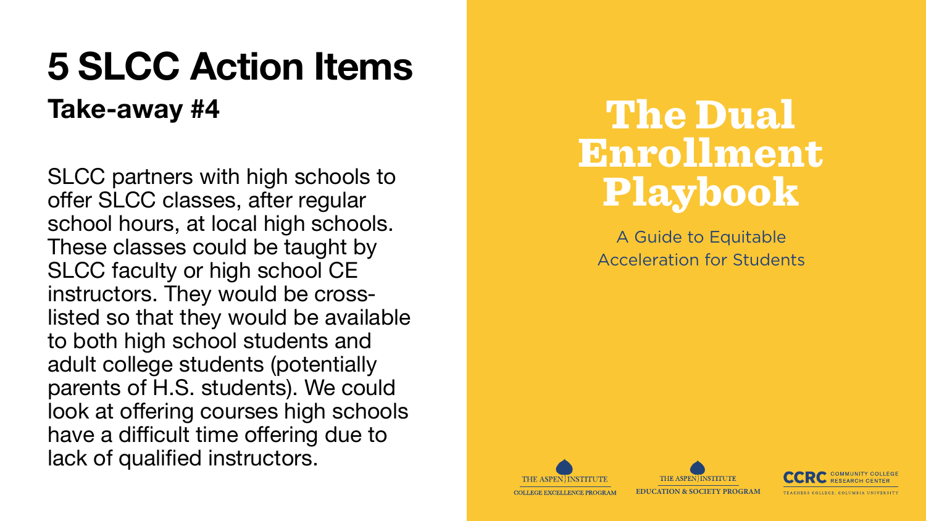SLCC partners with high schools to offer SLCC classes, after regular school hours, at local high schools. These classes could be taught by SLCC faculty or high school CE instructors. They would be crosslisted so that they would be available to both high school students and adult college students (potentially parents of H.S. students). We could look at offering courses high schools have a difficult time offering due to lack of qualified instructors.

### The Dual Enrollment Playbook

A Guide to Equitable **Acceleration for Students** 







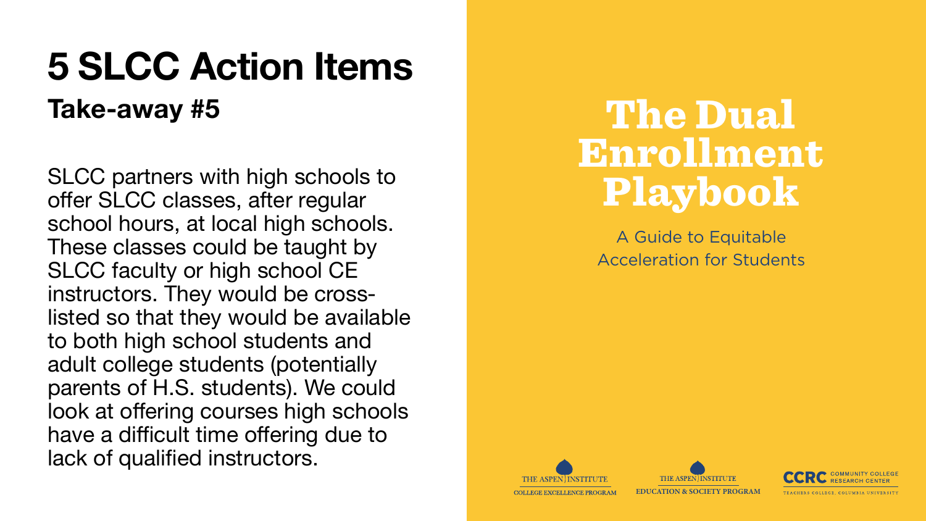SLCC partners with high schools to offer SLCC classes, after regular school hours, at local high schools. These classes could be taught by SLCC faculty or high school CE instructors. They would be crosslisted so that they would be available to both high school students and adult college students (potentially parents of H.S. students). We could look at offering courses high schools have a difficult time offering due to lack of qualified instructors.

### The Dual Enrollment Playbook

A Guide to Equitable **Acceleration for Students**